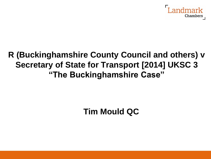

## **R (Buckinghamshire County Council and others) v Secretary of State for Transport [2014] UKSC 3 "The Buckinghamshire Case"**

**Tim Mould QC**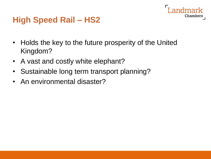## Chambers

## **High Speed Rail – HS2**

- Holds the key to the future prosperity of the United Kingdom?
- A vast and costly white elephant?
- Sustainable long term transport planning?
- An environmental disaster?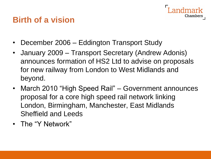## **Birth of a vision**

- December 2006 Eddington Transport Study
- January 2009 Transport Secretary (Andrew Adonis) announces formation of HS2 Ltd to advise on proposals for new railway from London to West Midlands and beyond.

Chamber:

- March 2010 "High Speed Rail" Government announces proposal for a core high speed rail network linking London, Birmingham, Manchester, East Midlands Sheffield and Leeds
- The "Y Network"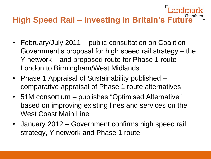## **High Speed Rail – Investing in Britain's Future**

- February/July 2011 public consultation on Coalition Government's proposal for high speed rail strategy – the Y network – and proposed route for Phase 1 route – London to Birmingham/West Midlands
- Phase 1 Appraisal of Sustainability published comparative appraisal of Phase 1 route alternatives
- 51M consortium publishes "Optimised Alternative" based on improving existing lines and services on the West Coast Main Line
- January 2012 Government confirms high speed rail strategy, Y network and Phase 1 route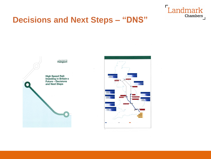

#### **Decisions and Next Steps – "DNS"**

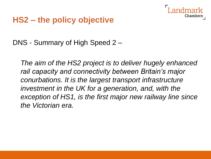

## **HS2 – the policy objective**

DNS - Summary of High Speed 2 –

*The aim of the HS2 project is to deliver hugely enhanced rail capacity and connectivity between Britain's major conurbations. It is the largest transport infrastructure investment in the UK for a generation, and, with the exception of HS1, is the first major new railway line since the Victorian era.*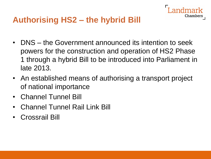

• DNS – the Government announced its intention to seek powers for the construction and operation of HS2 Phase 1 through a hybrid Bill to be introduced into Parliament in late 2013.

Chambers

- An established means of authorising a transport project of national importance
- Channel Tunnel Bill
- Channel Tunnel Rail Link Bill
- Crossrail Bill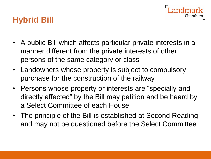# Chamber:

## **Hybrid Bill**

- A public Bill which affects particular private interests in a manner different from the private interests of other persons of the same category or class
- Landowners whose property is subject to compulsory purchase for the construction of the railway
- Persons whose property or interests are "specially and directly affected" by the Bill may petition and be heard by a Select Committee of each House
- The principle of the Bill is established at Second Reading and may not be questioned before the Select Committee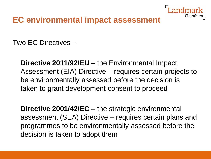

### **EC environmental impact assessment**

Two EC Directives –

**Directive 2011/92/EU** – the Environmental Impact Assessment (EIA) Directive – requires certain projects to be environmentally assessed before the decision is taken to grant development consent to proceed

**Directive 2001/42/EC** – the strategic environmental assessment (SEA) Directive – requires certain plans and programmes to be environmentally assessed before the decision is taken to adopt them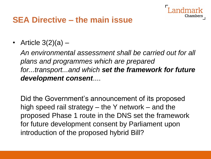

## **SEA Directive – the main issue**

• Article  $3(2)(a)$  –

*An environmental assessment shall be carried out for all plans and programmes which are prepared for...transport...and which set the framework for future development consent*....

Did the Government's announcement of its proposed high speed rail strategy – the Y network – and the proposed Phase 1 route in the DNS set the framework for future development consent by Parliament upon introduction of the proposed hybrid Bill?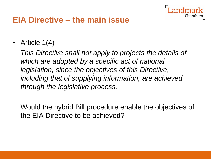

#### **EIA Directive – the main issue**

• Article  $1(4)$  –

*This Directive shall not apply to projects the details of which are adopted by a specific act of national legislation, since the objectives of this Directive, including that of supplying information, are achieved through the legislative process.*

Would the hybrid Bill procedure enable the objectives of the EIA Directive to be achieved?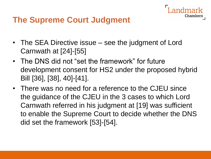

## **The Supreme Court Judgment**

- The SEA Directive issue see the judgment of Lord Carnwath at [24]-[55]
- The DNS did not "set the framework" for future development consent for HS2 under the proposed hybrid Bill [36], [38], 40]-[41].
- There was no need for a reference to the CJEU since the guidance of the CJEU in the 3 cases to which Lord Carnwath referred in his judgment at [19] was sufficient to enable the Supreme Court to decide whether the DNS did set the framework [53]-[54].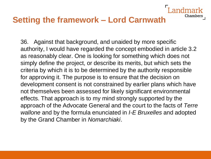#### **Setting the framework – Lord Carnwath**

36. Against that background, and unaided by more specific authority, I would have regarded the concept embodied in article 3.2 as reasonably clear. One is looking for something which does not simply define the project, or describe its merits, but which sets the criteria by which it is to be determined by the authority responsible for approving it. The purpose is to ensure that the decision on development consent is not constrained by earlier plans which have not themselves been assessed for likely significant environmental effects. That approach is to my mind strongly supported by the approach of the Advocate General and the court to the facts of *Terre wallone* and by the formula enunciated in *I-E Bruxelles* and adopted by the Grand Chamber in *Nomarchiaki*.

Chamber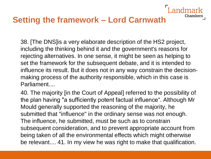## **Setting the framework – Lord Carnwath**

38. [The DNS]is a very elaborate description of the HS2 project, including the thinking behind it and the government's reasons for rejecting alternatives. In one sense, it might be seen as helping to set the framework for the subsequent debate, and it is intended to influence its result. But it does not in any way constrain the decisionmaking process of the authority responsible, which in this case is Parliament....

Chamber

40. The majority [in the Court of Appeal] referred to the possibility of the plan having "a sufficiently potent factual influence". Although Mr Mould generally supported the reasoning of the majority, he submitted that "influence" in the ordinary sense was not enough. The influence, he submitted, must be such as to constrain subsequent consideration, and to prevent appropriate account from being taken of all the environmental effects which might otherwise be relevant.... 41. In my view he was right to make that qualification.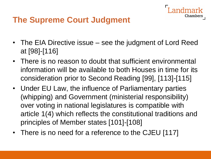

## **The Supreme Court Judgment**

- The EIA Directive issue see the judgment of Lord Reed at [98]-[116]
- There is no reason to doubt that sufficient environmental information will be available to both Houses in time for its consideration prior to Second Reading [99], [113]-[115]
- Under EU Law, the influence of Parliamentary parties (whipping) and Government (ministerial responsibility) over voting in national legislatures is compatible with article 1(4) which reflects the constitutional traditions and principles of Member states [101]-[108]
- There is no need for a reference to the CJEU [117]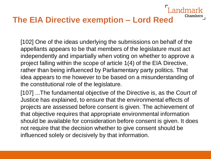## **The EIA Directive exemption – Lord Reed**

[102] One of the ideas underlying the submissions on behalf of the appellants appears to be that members of the legislature must act independently and impartially when voting on whether to approve a project falling within the scope of article 1(4) of the EIA Directive, rather than being influenced by Parliamentary party politics. That idea appears to me however to be based on a misunderstanding of the constitutional role of the legislature.

**Chambers** 

[107] ...The fundamental objective of the Directive is, as the Court of Justice has explained, to ensure that the environmental effects of projects are assessed before consent is given. The achievement of that objective requires that appropriate environmental information should be available for consideration before consent is given. It does not require that the decision whether to give consent should be influenced solely or decisively by that information.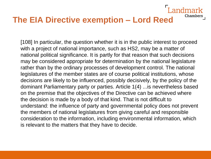### **The EIA Directive exemption – Lord Reed**

[108] In particular, the question whether it is in the public interest to proceed with a project of national importance, such as HS2, may be a matter of national political significance. It is partly for that reason that such decisions may be considered appropriate for determination by the national legislature rather than by the ordinary processes of development control. The national legislatures of the member states are of course political institutions, whose decisions are likely to be influenced, possibly decisively, by the policy of the dominant Parliamentary party or parties. Article 1(4) ...is nevertheless based on the premise that the objectives of the Directive can be achieved where the decision is made by a body of that kind. That is not difficult to understand: the influence of party and governmental policy does not prevent the members of national legislatures from giving careful and responsible consideration to the information, including environmental information, which is relevant to the matters that they have to decide.

ndmark

Chambers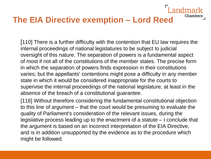## **The EIA Directive exemption – Lord Reed**

[110] There is a further difficulty with the contention that EU law requires the internal proceedings of national legislatures to be subject to judicial oversight of this nature. The separation of powers is a fundamental aspect of most if not all of the constitutions of the member states. The precise form in which the separation of powers finds expression in their constitutions varies; but the appellants' contentions might pose a difficulty in any member state in which it would be considered inappropriate for the courts to supervise the internal proceedings of the national legislature, at least in the absence of the breach of a constitutional guarantee.

andmark

Chambers

[116] Without therefore considering the fundamental constitutional objection to this line of argument – that the court would be presuming to evaluate the quality of Parliament's consideration of the relevant issues, during the legislative process leading up to the enactment of a statute – I conclude that the argument is based on an incorrect interpretation of the EIA Directive, and is in addition unsupported by the evidence as to the procedure which might be followed.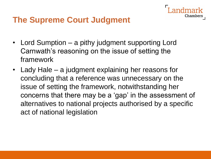## **The Supreme Court Judgment**

- Lord Sumption a pithy judgment supporting Lord Carnwath's reasoning on the issue of setting the framework
- Lady Hale a judgment explaining her reasons for concluding that a reference was unnecessary on the issue of setting the framework, notwithstanding her concerns that there may be a 'gap' in the assessment of alternatives to national projects authorised by a specific act of national legislation

Chambei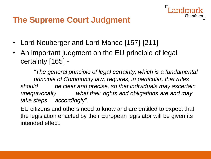## **The Supreme Court Judgment**

- Lord Neuberger and Lord Mance [157]-[211]
- An important judgment on the EU principle of legal certainty [165] -

*"The general principle of legal certainty, which is a fundamental principle of Community law, requires, in particular, that rules should be clear and precise, so that individuals may ascertain unequivocally what their rights and obligations are and may take steps accordingly".*

Chambe:

EU citizens and others need to know and are entitled to expect that the legislation enacted by their European legislator will be given its intended effect.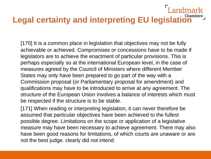### ndmark **Legal certainty and interpreting EU legislation**

[170] It is a common place in legislation that objectives may not be fully achievable or achieved. Compromises or concessions have to be made if legislators are to achieve the enactment of particular provisions. This is perhaps especially so at the international European level, in the case of measures agreed by the Council of Ministers where different Member States may only have been prepared to go part of the way with a Commission proposal (or Parliamentary proposal for amendment) and qualifications may have to be introduced to arrive at any agreement. The structure of the European Union involves a balance of interests which must be respected if the structure is to be stable.

[171] When reading or interpreting legislation, it can never therefore be assumed that particular objectives have been achieved to the fullest possible degree. Limitations on the scope or application of a legislative measure may have been necessary to achieve agreement. There may also have been good reasons for limitations, of which courts are unaware or are not the best judge. clearly did not intend.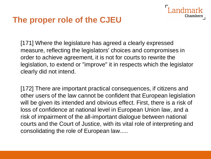### **The proper role of the CJEU**

[171] Where the legislature has agreed a clearly expressed measure, reflecting the legislators' choices and compromises in order to achieve agreement, it is not for courts to rewrite the legislation, to extend or "improve" it in respects which the legislator clearly did not intend.

Chamber

[172] There are important practical consequences, if citizens and other users of the law cannot be confident that European legislation will be given its intended and obvious effect. First, there is a risk of loss of confidence at national level in European Union law, and a risk of impairment of the all-important dialogue between national courts and the Court of Justice, with its vital role of interpreting and consolidating the role of European law.....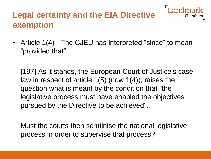## **Legal certainty and the EIA Directive exemption**

• Article 1(4) - The CJEU has interpreted "since" to mean "provided that"

Chamb

[197] As it stands, the European Court of Justice's caselaw in respect of article 1(5) (now 1(4)), raises the question what is meant by the condition that "the legislative process must have enabled the objectives pursued by the Directive to be achieved".

Must the courts then scrutinise the national legislative process in order to supervise that process?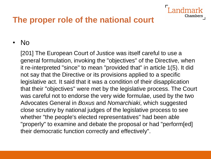## **The proper role of the national court**

#### • No

[201] The European Court of Justice was itself careful to use a general formulation, invoking the "objectives" of the Directive, when it re-interpreted "since" to mean "provided that" in article 1(5). It did not say that the Directive or its provisions applied to a specific legislative act. It said that it was a condition of their disapplication that their "objectives" were met by the legislative process. The Court was careful not to endorse the very wide formulae, used by the two Advocates General in *Boxus* and *Nomarchiaki*, which suggested close scrutiny by national judges of the legislative process to see whether "the people's elected representatives" had been able "properly" to examine and debate the proposal or had "perform[ed] their democratic function correctly and effectively".

Chamber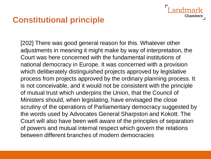## **Constitutional principle**

[202] There was good general reason for this. Whatever other adjustments in meaning it might make by way of interpretation, the Court was here concerned with the fundamental institutions of national democracy in Europe. It was concerned with a provision which deliberately distinguished projects approved by legislative process from projects approved by the ordinary planning process. It is not conceivable, and it would not be consistent with the principle of mutual trust which underpins the Union, that the Council of Ministers should, when legislating, have envisaged the close scrutiny of the operations of Parliamentary democracy suggested by the words used by Advocates General Sharpston and Kokott. The Court will also have been well aware of the principles of separation of powers and mutual internal respect which govern the relations between different branches of modern democracies

Chambei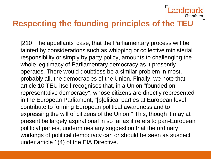## **Respecting the founding principles of the TEU**

Chambers

[210] The appellants' case, that the Parliamentary process will be tainted by considerations such as whipping or collective ministerial responsibility or simply by party policy, amounts to challenging the whole legitimacy of Parliamentary democracy as it presently operates. There would doubtless be a similar problem in most, probably all, the democracies of the Union. Finally, we note that article 10 TEU itself recognises that, in a Union "founded on representative democracy", whose citizens are directly represented in the European Parliament, "[p]olitical parties at European level contribute to forming European political awareness and to expressing the will of citizens of the Union." This, though it may at present be largely aspirational in so far as it refers to pan-European political parties, undermines any suggestion that the ordinary workings of political democracy can or should be seen as suspect under article 1(4) of the EIA Directive.